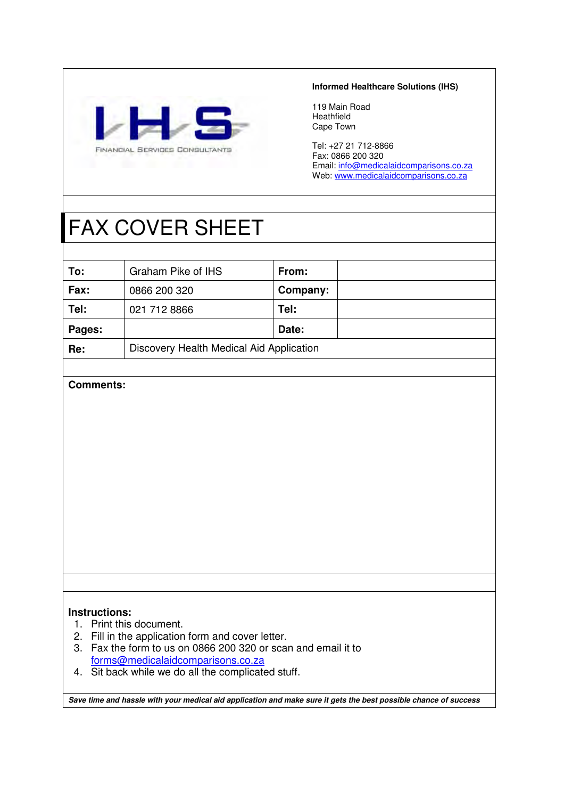

## **Informed Healthcare Solutions (IHS)**

119 Main Road Heathfield Cape Town

Tel: +27 21 712-8866 Fax: 0866 200 320 Email: info@medicalaidcomparisons.co.za Web: www.medicalaidcomparisons.co.za

# FAX COVER SHEET

| To:    | Graham Pike of IHS                       | From:    |  |  |  |
|--------|------------------------------------------|----------|--|--|--|
| Fax:   | 0866 200 320                             | Company: |  |  |  |
| Tel:   | 021 712 8866                             | Tel:     |  |  |  |
| Pages: |                                          | Date:    |  |  |  |
| Re:    | Discovery Health Medical Aid Application |          |  |  |  |

## **Comments:**

## **Instructions:**

- 1. Print this document.
- 2. Fill in the application form and cover letter.
- 3. Fax the form to us on 0866 200 320 or scan and email it to forms@medicalaidcomparisons.co.za
- 4. Sit back while we do all the complicated stuff.

**Save time and hassle with your medical aid application and make sure it gets the best possible chance of success**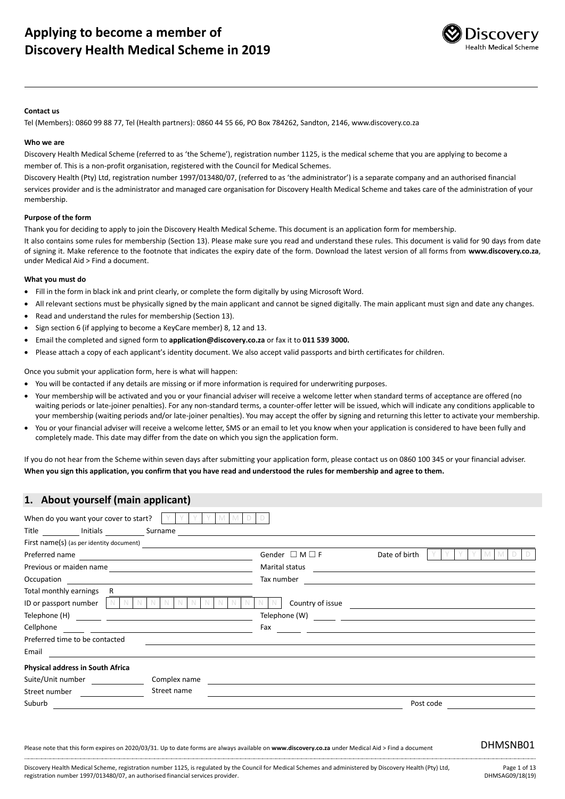

#### **Contact us**

Tel (Members): 0860 99 88 77, Tel (Health partners): 0860 44 55 66, PO Box 784262, Sandton, 2146, www.discovery.co.za

#### **Who we are**

Discovery Health Medical Scheme (referred to as 'the Scheme'), registration number 1125, is the medical scheme that you are applying to become a member of. This is a non-profit organisation, registered with the Council for Medical Schemes.

Discovery Health (Pty) Ltd, registration number 1997/013480/07, (referred to as 'the administrator') is a separate company and an authorised financial services provider and is the administrator and managed care organisation for Discovery Health Medical Scheme and takes care of the administration of your membership.

#### **Purpose of the form**

Thank you for deciding to apply to join the Discovery Health Medical Scheme. This document is an application form for membership.

It also contains some rules for membership (Section 13). Please make sure you read and understand these rules. This document is valid for 90 days from date of signing it. Make reference to the footnote that indicates the expiry date of the form. Download the latest version of all forms from **[www.discovery.co.za](http://www.discovery.co.za/)**, under Medical Aid > Find a document.

#### **What you must do**

- Fill in the form in black ink and print clearly, or complete the form digitally by using Microsoft Word.
- All relevant sections must be physically signed by the main applicant and cannot be signed digitally. The main applicant must sign and date any changes.
- Read and understand the rules for membership (Section 13).
- Sign section 6 (if applying to become a KeyCare member) 8, 12 and 13.
- Email the completed and signed form to **application@discovery.co.za** or fax it to **011 539 3000.**
- Please attach a copy of each applicant's identity document. We also accept valid passports and birth certificates for children.

Once you submit your application form, here is what will happen:

- You will be contacted if any details are missing or if more information is required for underwriting purposes.
- Your membership will be activated and you or your financial adviser will receive a welcome letter when standard terms of acceptance are offered (no waiting periods or late-joiner penalties). For any non-standard terms, a counter-offer letter will be issued, which will indicate any conditions applicable to your membership (waiting periods and/or late-joiner penalties). You may accept the offer by signing and returning this letter to activate your membership.
- You or your financial adviser will receive a welcome letter, SMS or an email to let you know when your application is considered to have been fully and completely made. This date may differ from the date on which you sign the application form.

If you do not hear from the Scheme within seven days after submitting your application form, please contact us on 0860 100 345 or your financial adviser. **When you sign this application, you confirm that you have read and understood the rules for membership and agree to them.**

| 1. About yourself (main applicant)       |                                                                                                                                        |
|------------------------------------------|----------------------------------------------------------------------------------------------------------------------------------------|
| When do you want your cover to start?    |                                                                                                                                        |
| Title Initials Surname                   |                                                                                                                                        |
| First name(s) (as per identity document) |                                                                                                                                        |
| Preferred name                           | Gender $\Box$ M $\Box$ F<br>Date of birth                                                                                              |
| Previous or maiden name                  | Marital status<br><u> 1989 - Jan Stein Harry Stein Harry Stein Harry Stein Harry Stein Harry Stein Harry Stein Harry Stein Harry S</u> |
| Occupation                               | Tax number                                                                                                                             |
| Total monthly earnings<br>R.             |                                                                                                                                        |
| ID or passport number                    | Country of issue                                                                                                                       |
|                                          | Telephone (W) $\qquad \qquad \qquad$                                                                                                   |
| Cellphone                                | Fax                                                                                                                                    |
| Preferred time to be contacted           |                                                                                                                                        |
| Email                                    |                                                                                                                                        |
| Physical address in South Africa         |                                                                                                                                        |
| Suite/Unit number                        | Complex name                                                                                                                           |
| Street number                            | Street name                                                                                                                            |
| Suburb                                   | Post code                                                                                                                              |

Please note that this form expires on 2020/03/31. Up to date forms are always available on **www.discovery.co.za** under Medical Aid > Find a document DHMSNB01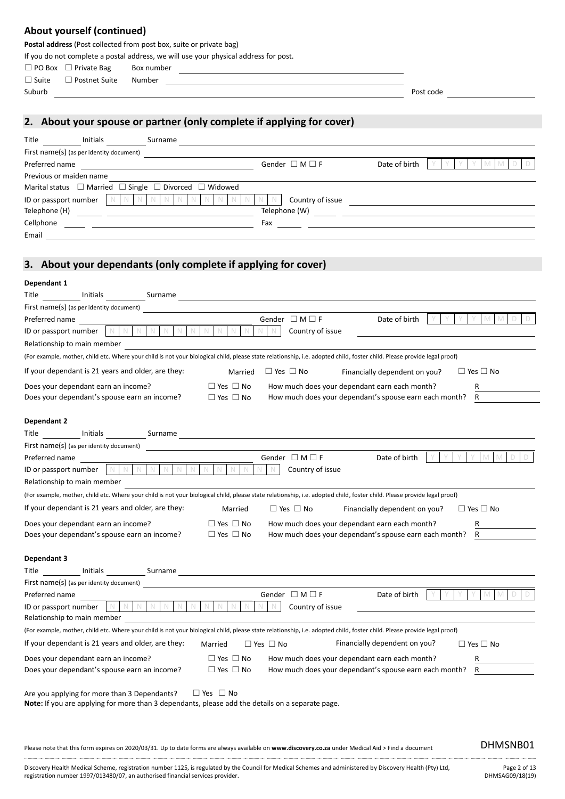## **About yourself (continued)**

**Postal address** (Post collected from post box, suite or private bag)

If you do not complete a postal address, we will use your physical address for post.

□ PO Box □ Private Bag Box number

☐ Suite ☐ Postnet Suite Number

Suburb Post code

**2. About your spouse or partner (only complete if applying for cover)**

| Title<br>Initials                                                          | Surname                  |               |  |
|----------------------------------------------------------------------------|--------------------------|---------------|--|
| First name(s) (as per identity document)                                   |                          |               |  |
| Preferred name                                                             | Gender $\Box$ M $\Box$ F | Date of birth |  |
| Previous or maiden name                                                    |                          |               |  |
| Marital status $\Box$ Married $\Box$ Single $\Box$ Divorced $\Box$ Widowed |                          |               |  |
| ID or passport number                                                      | Country of issue         |               |  |
| Telephone (H)                                                              | Telephone (W)            |               |  |
| Cellphone                                                                  | Fax                      |               |  |
| Email                                                                      |                          |               |  |

## **3. About your dependants (only complete if applying for cover)**

| Dependant 1                                                                                                                                                                                                                                                       |
|-------------------------------------------------------------------------------------------------------------------------------------------------------------------------------------------------------------------------------------------------------------------|
| Initials Surname<br>Title                                                                                                                                                                                                                                         |
| First name(s) (as per identity document)                                                                                                                                                                                                                          |
| Gender $\Box$ M $\Box$ F<br>Preferred name<br>Date of birth                                                                                                                                                                                                       |
| $\mathbb N$<br>$\mathbb N$<br>$\mathbb N$<br>$\mathbb N$<br>$\mathbb N$<br>ID or passport number<br>N<br>N<br>Country of issue                                                                                                                                    |
| Relationship to main member                                                                                                                                                                                                                                       |
| (For example, mother, child etc. Where your child is not your biological child, please state relationship, i.e. adopted child, foster child. Please provide legal proof)                                                                                          |
| If your dependant is 21 years and older, are they:<br>$\Box$ Yes $\Box$ No<br>$\Box$ Yes $\Box$ No<br>Married<br>Financially dependent on you?                                                                                                                    |
| $\Box$ Yes $\Box$ No<br>How much does your dependant earn each month?<br>Does your dependant earn an income?<br>R                                                                                                                                                 |
| $\Box$ Yes $\Box$ No<br>How much does your dependant's spouse earn each month?<br>$\mathsf{R}$<br>Does your dependant's spouse earn an income?                                                                                                                    |
|                                                                                                                                                                                                                                                                   |
| Dependant 2                                                                                                                                                                                                                                                       |
| Title Initials<br>Surname and the state of the state of the state of the state of the state of the state of the state of the state of the state of the state of the state of the state of the state of the state of the state of the state of th                  |
| First name(s) (as per identity document)                                                                                                                                                                                                                          |
| Gender $\Box$ M $\Box$ F<br>Date of birth<br>Preferred name<br>$\mathbb N$<br>$\mathbb N$<br>$\mathbb N$<br>$\mathbb N$<br>$\mathbb N$                                                                                                                            |
| ID or passport number<br>Country of issue<br>Relationship to main member                                                                                                                                                                                          |
|                                                                                                                                                                                                                                                                   |
| (For example, mother, child etc. Where your child is not your biological child, please state relationship, i.e. adopted child, foster child. Please provide legal proof)                                                                                          |
| If your dependant is 21 years and older, are they:<br>$\Box$ Yes $\Box$ No<br>$\Box$ Yes $\Box$ No<br>Married<br>Financially dependent on you?                                                                                                                    |
| $\Box$ Yes $\Box$ No<br>Does your dependant earn an income?<br>How much does your dependant earn each month?<br>R                                                                                                                                                 |
| $\Box$ Yes $\Box$ No<br>R<br>Does your dependant's spouse earn an income?<br>How much does your dependant's spouse earn each month?                                                                                                                               |
| Dependant 3                                                                                                                                                                                                                                                       |
| <b>Title</b><br><b>Initials</b><br>Surname experience and the set of the set of the set of the set of the set of the set of the set of the set of the set of the set of the set of the set of the set of the set of the set of the set of the set of the set of t |
| First name(s) (as per identity document)                                                                                                                                                                                                                          |
| Preferred name<br>Gender $\Box$ M $\Box$ F<br>Date of birth                                                                                                                                                                                                       |
| N<br>$\mathbb N$<br>$\mathbb N$<br>$\mathbb N$<br>$\mathbb N$<br>N<br>N<br>N<br>$\mathbb N$<br>Country of issue<br>ID or passport number<br>N<br>N                                                                                                                |
| Relationship to main member                                                                                                                                                                                                                                       |
| (For example, mother, child etc. Where your child is not your biological child, please state relationship, i.e. adopted child, foster child. Please provide legal proof)                                                                                          |
| Financially dependent on you?<br>If your dependant is 21 years and older, are they:<br>$\Box$ Yes $\Box$ No<br>$\Box$ Yes $\Box$ No<br>Married                                                                                                                    |
| $\Box$ Yes $\Box$ No<br>How much does your dependant earn each month?<br>Does your dependant earn an income?<br>R                                                                                                                                                 |
| $\Box$ Yes $\Box$ No<br>How much does your dependant's spouse earn each month?<br>$\mathsf{R}$<br>Does your dependant's spouse earn an income?                                                                                                                    |
|                                                                                                                                                                                                                                                                   |
| Are you applying for more than 3 Dependants?<br>$\Box$ Yes $\Box$ No<br>Note: If you are applying for more than 3 dependants, please add the details on a separate page.                                                                                          |
|                                                                                                                                                                                                                                                                   |
|                                                                                                                                                                                                                                                                   |
|                                                                                                                                                                                                                                                                   |
| DHMSNB01<br>Please note that this form expires on 2020/03/31. Up to date forms are always available on www.discovery.co.za under Medical Aid > Find a document                                                                                                    |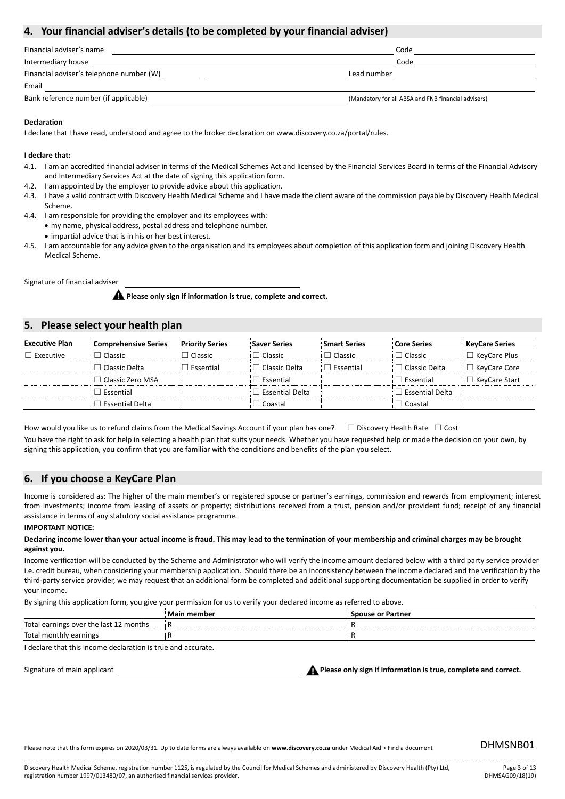## **4. Your financial adviser's details (to be completed by your financial adviser)**

| Financial adviser's name                 | Code                                                |  |
|------------------------------------------|-----------------------------------------------------|--|
| Intermediary house                       | Code                                                |  |
| Financial adviser's telephone number (W) | Lead number                                         |  |
| Email                                    |                                                     |  |
| Bank reference number (if applicable)    | (Mandatory for all ABSA and FNB financial advisers) |  |

### **Declaration**

I declare that I have read, understood and agree to the broker declaration on www.discovery.co.za/portal/rules.

### **I declare that:**

- 4.1. I am an accredited financial adviser in terms of the Medical Schemes Act and licensed by the Financial Services Board in terms of the Financial Advisory and Intermediary Services Act at the date of signing this application form.
- 4.2. I am appointed by the employer to provide advice about this application.
- 4.3. I have a valid contract with Discovery Health Medical Scheme and I have made the client aware of the commission payable by Discovery Health Medical Scheme.
- 4.4. I am responsible for providing the employer and its employees with: • my name, physical address, postal address and telephone number.
- impartial advice that is in his or her best interest.
- 4.5. I am accountable for any advice given to the organisation and its employees about completion of this application form and joining Discovery Health Medical Scheme.

Signature of financial adviser

**A** Please only sign if information is true, complete and correct.

## **5. Please select your health plan**

| <b>Executive Plan</b> | <b>Comprehensive Series</b> | <b>Priority Series</b> | <b>Saver Series</b>         | <b>Smart Series</b> | <b>Core Series</b>   | <b>KeyCare Series</b> |
|-----------------------|-----------------------------|------------------------|-----------------------------|---------------------|----------------------|-----------------------|
| $\Box$ Executive      | Classic                     | $\Box$ Classic         | $\sqsupset$ Classic         | $\Box$ Classic      | $\Box$ Classic       | $\Box$ KeyCare Plus   |
|                       | l Classic Delta             | $\Box$ Essential       | $\sqsupset$ Classic Delta   | $\Box$ Essential    | $\Box$ Classic Delta | $\Box$ KeyCare Core   |
|                       | l Classic Zero MSA          |                        | $\sqsupset$ Essential       |                     | $\exists$ Essential  | $\Box$ KeyCare Start  |
|                       | Essential                   |                        | $\sqsupset$ Essential Delta |                     | l Essential Delta    |                       |
|                       | <b>Essential Delta</b>      |                        | $\exists$ Coastal           |                     | $\Box$ Coastal       |                       |

How would you like us to refund claims from the Medical Savings Account if your plan has one?  $□$  Discovery Health Rate  $□$  Cost

You have the right to ask for help in selecting a health plan that suits your needs. Whether you have requested help or made the decision on your own, by signing this application, you confirm that you are familiar with the conditions and benefits of the plan you select.

## **6. If you choose a KeyCare Plan**

Income is considered as: The higher of the main member's or registered spouse or partner's earnings, commission and rewards from employment; interest from investments; income from leasing of assets or property; distributions received from a trust, pension and/or provident fund; receipt of any financial assistance in terms of any statutory social assistance programme.

### **IMPORTANT NOTICE:**

#### **Declaring income lower than your actual income is fraud. This may lead to the termination of your membership and criminal charges may be brought against you.**

Income verification will be conducted by the Scheme and Administrator who will verify the income amount declared below with a third party service provider i.e. credit bureau, when considering your membership application. Should there be an inconsistency between the income declared and the verification by the third-party service provider, we may request that an additional form be completed and additional supporting documentation be supplied in order to verify your income.

By signing this application form, you give your permission for us to verify your declared income as referred to above.

|                                        | Main member | <b>Spouse or Partner</b> |
|----------------------------------------|-------------|--------------------------|
| Total earnings over the last 12 months |             |                          |
| Total monthly earnings                 |             |                          |

I declare that this income declaration is true and accurate.

Signature of main applicant **Please only sign if information is true, complete and correct.**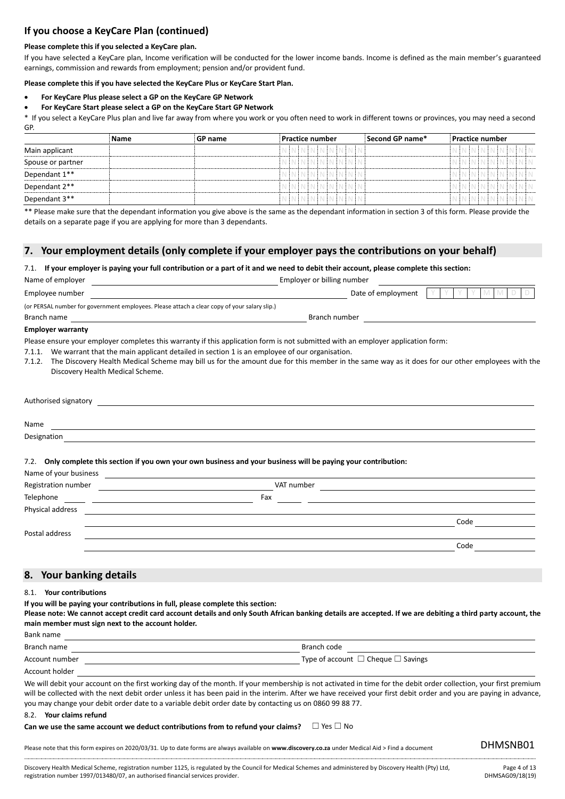## **If you choose a KeyCare Plan (continued)**

### **Please complete this if you selected a KeyCare plan.**

If you have selected a KeyCare plan, Income verification will be conducted for the lower income bands. Income is defined as the main member's guaranteed earnings, commission and rewards from employment; pension and/or provident fund.

**Please complete this if you have selected the KeyCare Plus or KeyCare Start Plan.**

- **For KeyCare Plus please select a GP on the KeyCare GP Network**
- **For KeyCare Start please select a GP on the KeyCare Start GP Network**

\* If you select a KeyCare Plus plan and live far away from where you work or you often need to work in different towns or provinces, you may need a second GP.

|                   | Name | <b>GP</b> name |  | <b>Practice number</b> |  |  |  | $\,$ Second GP name $^*$ |  | <b>Practice number</b> |  |                          |  |
|-------------------|------|----------------|--|------------------------|--|--|--|--------------------------|--|------------------------|--|--------------------------|--|
| Main applicant    |      |                |  | N N N N N N N N N      |  |  |  |                          |  |                        |  | N N N N N N N N N N      |  |
| Spouse or partner |      |                |  | rnininininininin       |  |  |  |                          |  |                        |  | . N ÎN ÎN ÎN ÎN ÎN ÎN ÎN |  |
| Dependant 1**     |      |                |  | NININININININI         |  |  |  |                          |  |                        |  | HN IN IN IN IN IN I      |  |
| Dependant 2**     |      |                |  | IN IN IN IN INT        |  |  |  |                          |  |                        |  |                          |  |
| Dependant 3**     |      |                |  | NNNNNNNNNN             |  |  |  |                          |  |                        |  | NNNNNNNNN                |  |

\*\* Please make sure that the dependant information you give above is the same as the dependant information in section 3 of this form. Please provide the details on a separate page if you are applying for more than 3 dependants.

### **7. Your employment details (only complete if your employer pays the contributions on your behalf)**

#### 7.1. **If your employer is paying your full contribution or a part of it and we need to debit their account, please complete this section:**

| Name of employer                                                                             | Employer or billing number |       |
|----------------------------------------------------------------------------------------------|----------------------------|-------|
| Employee number                                                                              | Date of employment         | MMDDI |
| (or PERSAL number for government employees. Please attach a clear copy of your salary slip.) |                            |       |
| Branch name                                                                                  | Branch number              |       |
|                                                                                              |                            |       |

#### **Employer warranty**

Please ensure your employer completes this warranty if this application form is not submitted with an employer application form:

- 7.1.1. We warrant that the main applicant detailed in section 1 is an employee of our organisation.
- 7.1.2. The Discovery Health Medical Scheme may bill us for the amount due for this member in the same way as it does for our other employees with the Discovery Health Medical Scheme.

| Authorised signatory                  |  |  |
|---------------------------------------|--|--|
|                                       |  |  |
| Name                                  |  |  |
| $\sim$ $\sim$<br>$\sim$ $\sim$ $\sim$ |  |  |

Designation

### 7.2. **Only complete this section if you own your own business and your business will be paying your contribution:**

| Name of your business |            |      |
|-----------------------|------------|------|
| Registration number   | VAT number |      |
| Telephone             | Fax        |      |
| Physical address      |            |      |
|                       |            | Code |
| Postal address        |            |      |
|                       |            | Code |

## **8. Your banking details**

8.1. **Your contributions**

Bank name

**If you will be paying your contributions in full, please complete this section:**

**Please note: We cannot accept credit card account details and only South African banking details are accepted. If we are debiting a third party account, the main member must sign next to the account holder.** 

| DAIIR IIIIIE   |                                              |
|----------------|----------------------------------------------|
| Branch name    | Branch code                                  |
| Account number | Type of account $\Box$ Cheque $\Box$ Savings |
| Account holder |                                              |

We will debit your account on the first working day of the month. If your membership is not activated in time for the debit order collection, your first premium will be collected with the next debit order unless it has been paid in the interim. After we have received your first debit order and you are paying in advance, you may change your debit order date to a variable debit order date by contacting us on 0860 99 88 77.

#### 8.2. **Your claims refund**

Can we use the same account we deduct contributions from to refund your claims? □ Yes □ No

Please note that this form expires on 2020/03/31. Up to date forms are always available on **www.discovery.co.za** under Medical Aid > Find a document DHMSNB01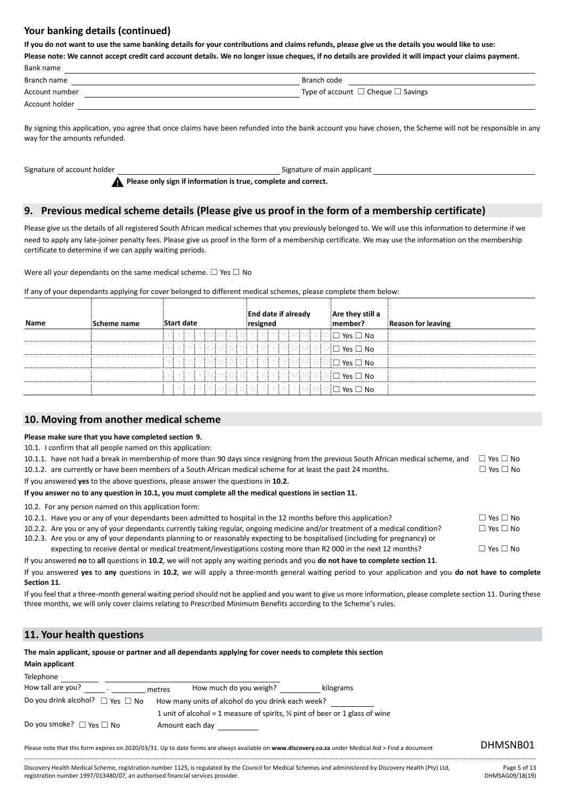## **Your banking details (continued)**

**If you do not want to use the same banking details for your contributions and claims refunds, please give us the details you would like to use:**

**Please note: We cannot accept credit card account details. We no longer issue cheques, if no details are provided it will impact your claims payment.** Bank name

| Bank name      |                                              |
|----------------|----------------------------------------------|
| Branch name    | Branch code                                  |
| Account number | Type of account $\Box$ Cheque $\Box$ Savings |
| Account holder |                                              |

.<br>By signing this application, you agree that once claims have been refunded into the bank account you have chosen, the Scheme will not be responsible in any way for the amounts refunded.

Signature of account holder Signature of main applicant

## **9. Previous medical scheme details (Please give us proof in the form of a membership certificate)**

Please give us the details of all registered South African medical schemes that you previously belonged to. We will use this information to determine if we need to apply any late-joiner penalty fees. Please give us proof in the form of a membership certificate. We may use the information on the membership certificate to determine if we can apply waiting periods.

Were all your dependants on the same medical scheme.  $\Box$  Yes  $\Box$  No

|  |  | If any of your dependants applying for cover belonged to different medical schemes, please complete them below: |  |  |  |  |  |
|--|--|-----------------------------------------------------------------------------------------------------------------|--|--|--|--|--|
|  |  |                                                                                                                 |  |  |  |  |  |

**Please only sign if information is true, complete and correct.**

| <b>Name</b> | Scheme name | Start date   | <b>End date if already</b><br>resigned                                   | Are they still a<br>member? | <b>Reason for leaving</b> |
|-------------|-------------|--------------|--------------------------------------------------------------------------|-----------------------------|---------------------------|
|             |             | YIYIMINIDIDI |                                                                          | ! ∩<br>่ T Yes □ No         |                           |
|             |             |              | $Y$   Y   Y   Y   M   M   D   D   Y   Y   Y   Y   M   M   D   D   $\Box$ | $\exists$ Yes $\Box$ No     |                           |
|             |             |              | MMDDYYYYYMMDDD                                                           | <sup>⊺</sup> Yes □ No       |                           |
|             |             |              | $Y Y Y Y M M D D Y Y Y Y M M D D D X$ es $\square$ No                    |                             |                           |
|             |             |              | YMMDDYYYYMMDD                                                            | ่ T Yes □ No                |                           |

## **10. Moving from another medical scheme**

### **Please make sure that you have completed section 9.**

10.1. I confirm that all people named on this application:

| 10.1.1. have not had a break in membership of more than 90 days since resigning from the previous South African medical scheme, and                                                                                            | $\Box$ Yes $\Box$ No |
|--------------------------------------------------------------------------------------------------------------------------------------------------------------------------------------------------------------------------------|----------------------|
| 10.1.2. are currently or have been members of a South African medical scheme for at least the past 24 months.                                                                                                                  | $\Box$ Yes $\Box$ No |
| If you answered <b>yes</b> to the above questions, please answer the questions in <b>10.2.</b>                                                                                                                                 |                      |
| If you answer no to any question in 10.1, you must complete all the medical questions in section 11.                                                                                                                           |                      |
| 10.2. For any person named on this application form:                                                                                                                                                                           |                      |
| 10.2.1. Have you or any of your dependants been admitted to hospital in the 12 months before this application?                                                                                                                 | $\Box$ Yes $\Box$ No |
| 10.2.2. Are you or any of your dependants currently taking regular, ongoing medicine and/or treatment of a medical condition?                                                                                                  | $\Box$ Yes $\Box$ No |
| 10.2.3. Are you or any of your dependants planning to or reasonably expecting to be hospitalised (including for pregnancy) or                                                                                                  |                      |
| expecting to receive dental or medical treatment/investigations costing more than R2 000 in the next 12 months?                                                                                                                | $\Box$ Yes $\Box$ No |
| The comparison of the Chinese to the Automobile of the contribution of the control of the Control of the control of the Automobile Control of Automobile Control of Automobile Control of Automobile Control of Automobile Con |                      |

If you answered **no** to **all** questions in **10.2**, we will not apply any waiting periods and you **do not have to complete section 11**. If you answered **yes** to **any** questions in **10.2**, we will apply a three-month general waiting period to your application and you **do not have to complete Section 11**.

If you feel that a three-month general waiting period should not be applied and you want to give us more information, please complete section 11. During these three months, we will only cover claims relating to Prescribed Minimum Benefits according to the Scheme's rules.

## **11. Your health questions**

| The main applicant, spouse or partner and all dependants applying for cover needs to complete this section |                                                                                                            |           |  |  |  |  |
|------------------------------------------------------------------------------------------------------------|------------------------------------------------------------------------------------------------------------|-----------|--|--|--|--|
| <b>Main applicant</b>                                                                                      |                                                                                                            |           |  |  |  |  |
| Telephone                                                                                                  |                                                                                                            |           |  |  |  |  |
| How tall are you?                                                                                          | How much do you weigh?<br>metres                                                                           | kilograms |  |  |  |  |
| Do you drink alcohol? $\Box$ Yes $\Box$ No                                                                 | How many units of alcohol do you drink each week?                                                          |           |  |  |  |  |
| Do you smoke? $\Box$ Yes $\Box$ No                                                                         | 1 unit of alcohol = 1 measure of spirits, $\frac{1}{2}$ pint of beer or 1 glass of wine<br>Amount each day |           |  |  |  |  |

Please note that this form expires on 2020/03/31. Up to date forms are always available on **www.discovery.co.za** under Medical Aid > Find a document DHMSNB01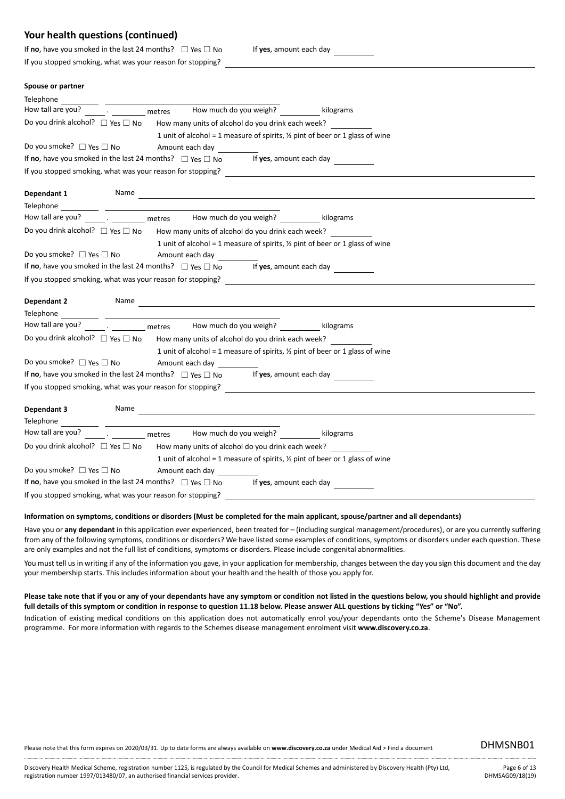| If no, have you smoked in the last 24 months? $\Box$ Yes $\Box$ No |  |
|--------------------------------------------------------------------|--|
| If you stopped smoking, what was your reason for stopping?         |  |

If yes, amount each day

#### **Spouse or partner**

| Telephone                                                                                       |  |
|-------------------------------------------------------------------------------------------------|--|
| How much do you weigh? kilograms<br>How tall are you?<br><b>Example 1</b> and the metres        |  |
| Do you drink alcohol? □ Yes □ No<br>How many units of alcohol do you drink each week?           |  |
| 1 unit of alcohol = 1 measure of spirits, $\frac{1}{2}$ pint of beer or 1 glass of wine         |  |
| Do you smoke? $\Box$ Yes $\Box$ No<br>Amount each day                                           |  |
| If no, have you smoked in the last 24 months? $\Box$ Yes $\Box$ No If yes, amount each day      |  |
|                                                                                                 |  |
| Name<br>Dependant 1                                                                             |  |
| Telephone                                                                                       |  |
| How tall are you? The state of the metres the Mow much do you weigh?                            |  |
| Do you drink alcohol? $\Box$ Yes $\Box$ No<br>How many units of alcohol do you drink each week? |  |
| 1 unit of alcohol = 1 measure of spirits, $\frac{1}{2}$ pint of beer or 1 glass of wine         |  |
| Do you smoke? $\Box$ Yes $\Box$ No<br>Amount each day                                           |  |
| If no, have you smoked in the last 24 months? $\Box$ Yes $\Box$ No If yes, amount each day      |  |
| If you stopped smoking, what was your reason for stopping?                                      |  |
|                                                                                                 |  |
| Name<br><b>Dependant 2</b>                                                                      |  |
| Telephone<br><u> 1989 - Johann Stein, fransk politiker (d. 1989)</u>                            |  |
| How much do you weigh? Management Rilograms<br>How tall are you?<br>metres                      |  |
| Do you drink alcohol? $\Box$ Yes $\Box$ No<br>How many units of alcohol do you drink each week? |  |
| 1 unit of alcohol = 1 measure of spirits, $\frac{1}{2}$ pint of beer or 1 glass of wine         |  |
| Do you smoke? $\Box$ Yes $\Box$ No<br>Amount each day                                           |  |
| If no, have you smoked in the last 24 months? $\Box$ Yes $\Box$ No<br>If yes, amount each day   |  |
| If you stopped smoking, what was your reason for stopping?                                      |  |
| Dependant 3<br>Name                                                                             |  |
| Telephone                                                                                       |  |
| . The metres the much do you weigh? The lilograms<br>How tall are you?                          |  |
| Do you drink alcohol? $\Box$ Yes $\Box$ No How many units of alcohol do you drink each week?    |  |
| 1 unit of alcohol = 1 measure of spirits, $\frac{1}{2}$ pint of beer or 1 glass of wine         |  |
| Do you smoke? $\Box$ Yes $\Box$ No<br>Amount each day                                           |  |
| If no, have you smoked in the last 24 months? $\Box$ Yes $\Box$ No<br>If yes, amount each day   |  |
| If you stopped smoking, what was your reason for stopping?                                      |  |
|                                                                                                 |  |

### **Information on symptoms, conditions or disorders (Must be completed for the main applicant, spouse/partner and all dependants)**

Have you or **any dependant** in this application ever experienced, been treated for – (including surgical management/procedures), or are you currently suffering from any of the following symptoms, conditions or disorders? We have listed some examples of conditions, symptoms or disorders under each question. These are only examples and not the full list of conditions, symptoms or disorders. Please include congenital abnormalities.

You must tell us in writing if any of the information you gave, in your application for membership, changes between the day you sign this document and the day your membership starts. This includes information about your health and the health of those you apply for.

#### **Please take note that if you or any of your dependants have any symptom or condition not listed in the questions below, you should highlight and provide full details of this symptom or condition in response to question 11.18 below. Please answer ALL questions by ticking "Yes" or "No".**

Indication of existing medical conditions on this application does not automatically enrol you/your dependants onto the Scheme's Disease Management programme. For more information with regards to the Schemes disease management enrolment visit **www.discovery.co.za**.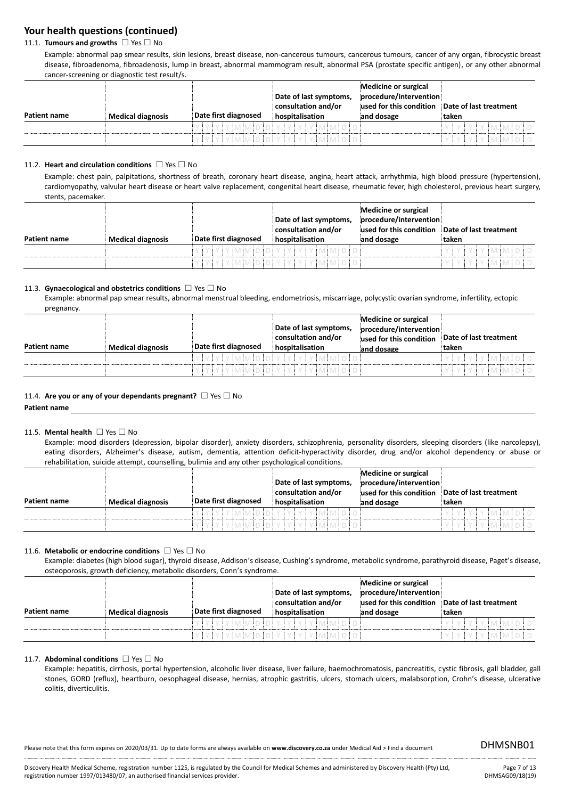## 11.1. **Tumours and growths** ☐ Yes ☐ No

Example: abnormal pap smear results, skin lesions, breast disease, non-cancerous tumours, cancerous tumours, cancer of any organ, fibrocystic breast disease, fibroadenoma, fibroadenosis, lump in breast, abnormal mammogram result, abnormal PSA (prostate specific antigen), or any other abnormal cancer-screening or diagnostic test result/s.

| Patient name | <b>Medical diagnosis</b> | Date first diagnosed | Date of last symptoms,<br>consultation and/or<br>hospitalisation | Medicine or surgical<br>procedure/intervention<br>jused for this condition<br>and dosage | Date of last treatment<br>taken |
|--------------|--------------------------|----------------------|------------------------------------------------------------------|------------------------------------------------------------------------------------------|---------------------------------|
|              |                          | ' v imimin i n i v i | EMEME D.E.D.                                                     |                                                                                          | IMIMIDID<br>V<br>V              |
|              |                          |                      |                                                                  |                                                                                          | <b>IY Y Y MIMIDID</b>           |

### 11.2. **Heart and circulation conditions** ☐ Yes ☐ No

Example: chest pain, palpitations, shortness of breath, coronary heart disease, angina, heart attack, arrhythmia, high blood pressure (hypertension), cardiomyopathy, valvular heart disease or heart valve replacement, congenital heart disease, rheumatic fever, high cholesterol, previous heart surgery, stents, pacemaker.

| Patient name | <b>Medical diagnosis</b> | Date first diagnosed | Date of last symptoms,<br>consultation and/or<br>hospitalisation | Medicine or surgical<br>procedure/intervention<br>used for this condition<br>and dosage | Date of last treatment<br>taken |
|--------------|--------------------------|----------------------|------------------------------------------------------------------|-----------------------------------------------------------------------------------------|---------------------------------|
|              |                          | MIMIDIDI             | YIYIYIYIMINIDID                                                  |                                                                                         | .vivimimidid                    |
|              |                          |                      | I Y I MIMI DI DI Y I Y I Y I Y I MIMI DI DI                      |                                                                                         |                                 |

### 11.3. **Gynaecological and obstetrics conditions** ☐ Yes ☐ No

Example: abnormal pap smear results, abnormal menstrual bleeding, endometriosis, miscarriage, polycystic ovarian syndrome, infertility, ectopic pregnancy.

|                     |                          |                      | Date of last symptoms,<br>consultation and/or | Medicine or surgical<br>procedure/intervention<br>used for this condition | Date of last treatment |
|---------------------|--------------------------|----------------------|-----------------------------------------------|---------------------------------------------------------------------------|------------------------|
| <b>Patient name</b> | <b>Medical diagnosis</b> | Date first diagnosed | hospitalisation                               | and dosage                                                                | ˈtaken                 |
|                     |                          | IMIMIDIDIYI          |                                               |                                                                           | 'IMIMIDI               |
|                     |                          |                      | Y I Y IMIMIDIDI Y I Y I Y I Y IMIMIDIDI       |                                                                           | <b>IMIMIDID</b>        |

#### 11.4. **Are you or any of your dependants pregnant?** ☐ Yes ☐ No

**Patient name**

### 11.5. **Mental health** ☐ Yes ☐ No

Example: mood disorders (depression, bipolar disorder), anxiety disorders, schizophrenia, personality disorders, sleeping disorders (like narcolepsy), eating disorders, Alzheimer's disease, autism, dementia, attention deficit-hyperactivity disorder, drug and/or alcohol dependency or abuse or rehabilitation, suicide attempt, counselling, bulimia and any other psychological conditions.

|              |                          |                      | Date of last symptoms,<br>consultation and/or | <b>Medicine or surgical</b><br>procedure/intervention<br>used for this condition | Date of last treatment |
|--------------|--------------------------|----------------------|-----------------------------------------------|----------------------------------------------------------------------------------|------------------------|
| Patient name | <b>Medical diagnosis</b> | Date first diagnosed | hospitalisation                               | and dosage                                                                       | taken                  |
|              |                          |                      | Y Y Y Y Y MMDIDIY Y Y Y Y MMDIDI              |                                                                                  | <b>.</b> Y EVEN EMEDED |
|              |                          |                      |                                               |                                                                                  | :Y EMEMED E D          |

#### 11.6. **Metabolic or endocrine conditions** ☐ Yes ☐ No

Example: diabetes (high blood sugar), thyroid disease, Addison's disease, Cushing's syndrome, metabolic syndrome, parathyroid disease, Paget's disease, osteoporosis, growth deficiency, metabolic disorders, Conn's syndrome.

|              |                          |                      | Date of last symptoms,<br>consultation and/or | Medicine or surgical<br>procedure/intervention<br>used for this condition | Date of last treatment |
|--------------|--------------------------|----------------------|-----------------------------------------------|---------------------------------------------------------------------------|------------------------|
| Patient name | <b>Medical diagnosis</b> | Date first diagnosed | hospitalisation                               | and dosage                                                                | taken                  |
|              |                          |                      | EY Y Y MIMIDIDIY Y Y Y Y MIMIDID'             |                                                                           | <b>*vivimimidid</b>    |
|              |                          | IY MMIDIDIYIYI       | iy iy imimid id.                              |                                                                           | z EM EM ED E           |

#### 11.7. **Abdominal conditions** ☐ Yes ☐ No

Example: hepatitis, cirrhosis, portal hypertension, alcoholic liver disease, liver failure, haemochromatosis, pancreatitis, cystic fibrosis, gall bladder, gall stones, GORD (reflux), heartburn, oesophageal disease, hernias, atrophic gastritis, ulcers, stomach ulcers, malabsorption, Crohn's disease, ulcerative colitis, diverticulitis.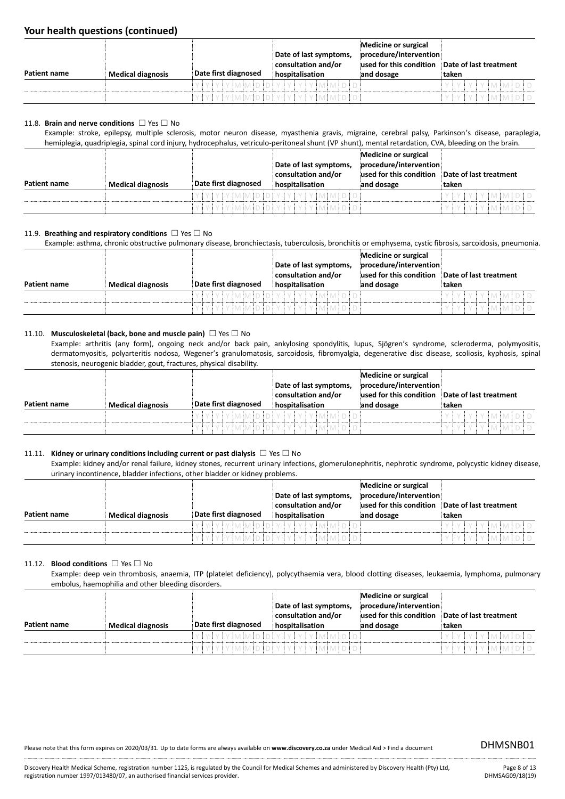| Patient name | <b>Medical diagnosis</b> | Date first diagnosed | Date of last symptoms,<br>consultation and/or<br>hospitalisation | Medicine or surgical<br>procedure/intervention<br>used for this condition<br>and dosage | Date of last treatment<br>taken |
|--------------|--------------------------|----------------------|------------------------------------------------------------------|-----------------------------------------------------------------------------------------|---------------------------------|
|              |                          | EN A EN A EIN EIN E  | V.                                                               |                                                                                         | EMEME DE D                      |
|              |                          |                      | EY EY EV EMEMED ED EY EY EY EV EMEMED ED.                        |                                                                                         | Y I MI MI DI D                  |

#### 11.8. **Brain and nerve conditions** ☐ Yes ☐ No

Example: stroke, epilepsy, multiple sclerosis, motor neuron disease, myasthenia gravis, migraine, cerebral palsy, Parkinson's disease, paraplegia, hemiplegia, quadriplegia, spinal cord injury, hydrocephalus, vetriculo-peritoneal shunt (VP shunt), mental retardation, CVA, bleeding on the brain.

| Patient name | <b>Medical diagnosis</b> | Date first diagnosed | Date of last symptoms,<br>consultation and/or<br>hospitalisation | Medicine or surgical<br>procedure/intervention<br>used for this condition<br>and dosage | Date of last treatment<br>taken |
|--------------|--------------------------|----------------------|------------------------------------------------------------------|-----------------------------------------------------------------------------------------|---------------------------------|
|              |                          |                      |                                                                  |                                                                                         |                                 |
|              |                          |                      | IY IY IMIMIDIDIY IY IY IY IMIMIDID'                              |                                                                                         | . V EMEMED ED.<br>V             |
|              |                          |                      | YYYMMODYYYYYMMDO                                                 |                                                                                         | IY I Y I M I M I D I D<br>V     |

#### 11.9. **Breathing and respiratory conditions** ☐ Yes ☐ No

Example: asthma, chronic obstructive pulmonary disease, bronchiectasis, tuberculosis, bronchitis or emphysema, cystic fibrosis, sarcoidosis, pneumonia.

|              |                          |                      |                                             | Medicine or surgical     |                        |
|--------------|--------------------------|----------------------|---------------------------------------------|--------------------------|------------------------|
|              |                          |                      | Date of last symptoms,                      | procedure/intervention   |                        |
|              |                          |                      | consultation and/or                         | jused for this condition | Date of last treatment |
| Patient name | <b>Medical diagnosis</b> | Date first diagnosed | hospitalisation                             | and dosage               | taken                  |
|              |                          |                      | EY EY EV EMEMED ED E Y EY EY EV EMEMED ED E |                          | FY EMEMED ED.          |
|              |                          |                      | MIDIDI<br>- EM E                            |                          |                        |

#### 11.10. **Musculoskeletal (back, bone and muscle pain)** ☐ Yes ☐ No

Example: arthritis (any form), ongoing neck and/or back pain, ankylosing spondylitis, lupus, Sjögren's syndrome, scleroderma, polymyositis, dermatomyositis, polyarteritis nodosa, Wegener's granulomatosis, sarcoidosis, fibromyalgia, degenerative disc disease, scoliosis, kyphosis, spinal stenosis, neurogenic bladder, gout, fractures, physical disability.

|                     |                          |                                  | Date of last symptoms,<br>consultation and/or | Medicine or surgical<br>procedure/intervention<br>used for this condition | Date of last treatment |
|---------------------|--------------------------|----------------------------------|-----------------------------------------------|---------------------------------------------------------------------------|------------------------|
| <b>Patient name</b> | <b>Medical diagnosis</b> | Date first diagnosed             | hospitalisation                               | and dosage                                                                | taken                  |
|                     |                          | EV EV EV EMEMED ED E V E V E V E | IYIMIMIDIDI                                   |                                                                           | . Y I MI MI DI D<br>V. |
|                     |                          |                                  | EY EY EV EMEMED ED EY EY EY EV EMEMED ED E    |                                                                           | YIMIMIDID              |

### 11.11. **Kidney or urinary conditions including current or past dialysis** ☐ Yes ☐ No

Example: kidney and/or renal failure, kidney stones, recurrent urinary infections, glomerulonephritis, nephrotic syndrome, polycystic kidney disease, urinary incontinence, bladder infections, other bladder or kidney problems.

| Patient name | <b>Medical diagnosis</b> | Date first diagnosed | Date of last symptoms,<br>consultation and/or<br>hospitalisation | Medicine or surgical<br>procedure/intervention<br>used for this condition<br>and dosage | Date of last treatment<br>taken |
|--------------|--------------------------|----------------------|------------------------------------------------------------------|-----------------------------------------------------------------------------------------|---------------------------------|
|              |                          | vimiminini vi v      | v + v                                                            |                                                                                         | <b>IMIMIDID</b>                 |
|              |                          | IYIYIMIMIDIDIYIYI    |                                                                  |                                                                                         |                                 |

#### 11.12. **Blood conditions** ☐ Yes ☐ No

Example: deep vein thrombosis, anaemia, ITP (platelet deficiency), polycythaemia vera, blood clotting diseases, leukaemia, lymphoma, pulmonary embolus, haemophilia and other bleeding disorders.

|              |                          |                      | Date of last symptoms,<br>consultation and/or | Medicine or surgical<br>procedure/intervention<br>used for this condition | Date of last treatment |
|--------------|--------------------------|----------------------|-----------------------------------------------|---------------------------------------------------------------------------|------------------------|
| Patient name | <b>Medical diagnosis</b> | Date first diagnosed | hospitalisation                               | and dosage                                                                | taken                  |
|              |                          |                      | Y EY EY EY ENEMED FOLLY EY EY EN ENED FOL     |                                                                           | EYİMİMİDİD<br>VIVI     |
|              |                          |                      | Y EY EY EY EMEMED ED EY EY EY EY EMEMED ED E  |                                                                           | IMIMIDID<br>V<br>V     |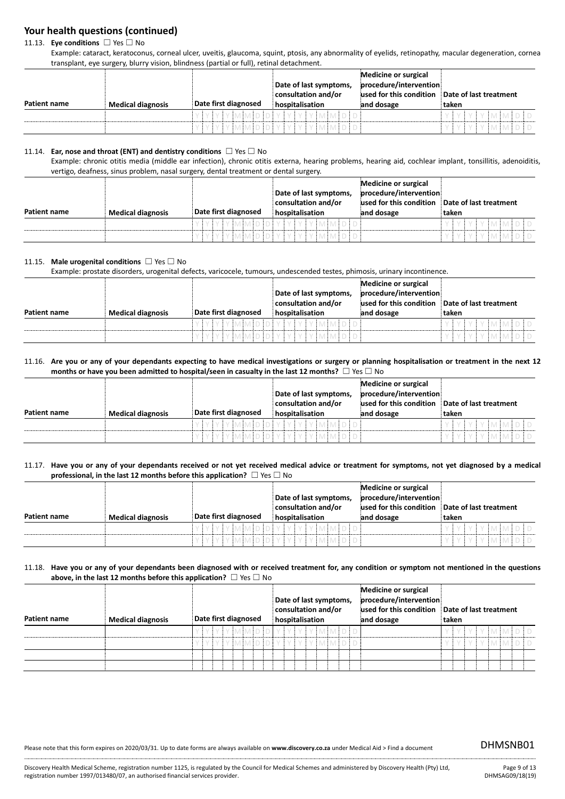11.13. **Eye conditions** ☐ Yes ☐ No

Example: cataract, keratoconus, corneal ulcer, uveitis, glaucoma, squint, ptosis, any abnormality of eyelids, retinopathy, macular degeneration, cornea transplant, eye surgery, blurry vision, blindness (partial or full), retinal detachment.

|              |                          |                      | Date of last symptoms,<br>consultation and/or | Medicine or surgical<br>procedure/intervention<br>used for this condition | Date of last treatment |
|--------------|--------------------------|----------------------|-----------------------------------------------|---------------------------------------------------------------------------|------------------------|
| Patient name | <b>Medical diagnosis</b> | Date first diagnosed | hospitalisation                               | and dosage                                                                | taken                  |
|              |                          |                      | IVIMIMIDIDIYIYIYIYIMIMIDID                    |                                                                           | FYIMIMIDID             |
|              |                          | MIMININI             |                                               |                                                                           |                        |

#### 11.14. **Ear, nose and throat (ENT) and dentistry conditions** ☐ Yes ☐ No

Example: chronic otitis media (middle ear infection), chronic otitis externa, hearing problems, hearing aid, cochlear implant, tonsillitis, adenoiditis, vertigo, deafness, sinus problem, nasal surgery, dental treatment or dental surgery.

|              |                          |                      | Date of last symptoms,<br>consultation and/or | Medicine or surgical<br>procedure/intervention<br>used for this condition | Date of last treatment |
|--------------|--------------------------|----------------------|-----------------------------------------------|---------------------------------------------------------------------------|------------------------|
| Patient name | <b>Medical diagnosis</b> | Date first diagnosed | hospitalisation                               | and dosage                                                                | taken                  |
|              |                          | 'vivimiminin'yi      | IMIMIDID                                      |                                                                           | . Imimidid             |
|              |                          | YIYIMIMIDIDIYI       | IYIYIYIMIMIDID                                |                                                                           | IMIMIDID               |

### 11.15. **Male urogenital conditions** ☐ Yes ☐ No

Example: prostate disorders, urogenital defects, varicocele, tumours, undescended testes, phimosis, urinary incontinence.

|                     |                          |                      | Date of last symptoms,<br>consultation and/or | <b>Medicine or surgical</b><br>procedure/intervention<br>used for this condition | Date of last treatment |
|---------------------|--------------------------|----------------------|-----------------------------------------------|----------------------------------------------------------------------------------|------------------------|
| <b>Patient name</b> | <b>Medical diagnosis</b> | Date first diagnosed | hospitalisation                               | and dosage                                                                       | taken                  |
|                     |                          |                      | Y EV EMEMED ED E V E V E V E V EMEMED ED E    |                                                                                  | e Finalinal di D       |
|                     |                          | IN A ENTER E VE      |                                               |                                                                                  |                        |

11.16. **Are you or any of your dependants expecting to have medical investigations or surgery or planning hospitalisation or treatment in the next 12 months or have you been admitted to hospital/seen in casualty in the last 12 months? □ Yes □ No** 

|              |                          |                      | Date of last symptoms,<br>consultation and/or | Medicine or surgical<br>procedure/intervention<br>used for this condition | Date of last treatment |
|--------------|--------------------------|----------------------|-----------------------------------------------|---------------------------------------------------------------------------|------------------------|
| Patient name | <b>Medical diagnosis</b> | Date first diagnosed | hospitalisation                               | and dosage                                                                | taken                  |
|              |                          | IMIMIDIDIYI          |                                               |                                                                           | IMMDID                 |
|              |                          | YIYIMIMIDIDIYI       | 'I Y I Y I MI MI DI D                         |                                                                           |                        |

11.17. **Have you or any of your dependants received or not yet received medical advice or treatment for symptoms, not yet diagnosed by a medical professional, in the last 12 months before this application?** ☐ Yes ☐ No

| Patient name | <b>Medical diagnosis</b> | Date first diagnosed | Date of last symptoms,<br>consultation and/or<br>hospitalisation | Medicine or surgical<br>procedure/intervention<br>used for this condition<br>and dosage | Date of last treatment<br>taken |
|--------------|--------------------------|----------------------|------------------------------------------------------------------|-----------------------------------------------------------------------------------------|---------------------------------|
|              |                          |                      | FY Y Y MIMINI DI Y Y Y Y Y MIMI DI DI                            |                                                                                         | IYIYIMIMIDID                    |
|              |                          | YMMDDIYYYYY          | IMIMIDIDI                                                        |                                                                                         | EVIMINIDID                      |

#### 11.18. **Have you or any of your dependants been diagnosed with or received treatment for, any condition or symptom not mentioned in the questions above, in the last 12 months before this application?** ☐ Yes ☐ No

| <b>Patient name</b> | <b>Medical diagnosis</b> | Date first diagnosed | Date of last symptoms,<br>consultation and/or<br>hospitalisation | <b>Medicine or surgical</b><br>procedure/intervention<br>used for this condition<br>and dosage | Date of last treatment<br>taken |
|---------------------|--------------------------|----------------------|------------------------------------------------------------------|------------------------------------------------------------------------------------------------|---------------------------------|
|                     |                          |                      | YYYYMMIDIDIYYYYYMMIDID                                           |                                                                                                | <u>Iviyimimidid</u>             |
|                     |                          |                      | YYYMMDDYYYYYMMDD                                                 |                                                                                                | iy iy iy imimid id              |
|                     |                          |                      |                                                                  |                                                                                                |                                 |
|                     |                          |                      |                                                                  |                                                                                                |                                 |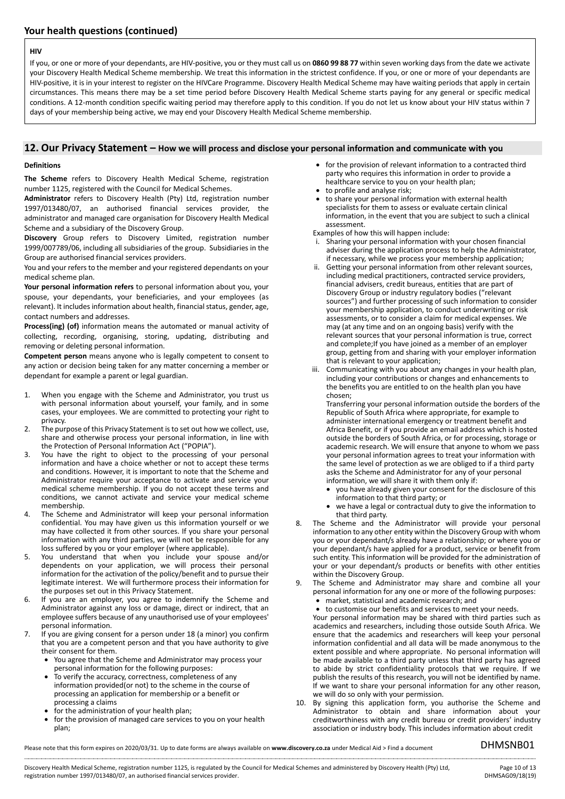#### **HIV**

If you, or one or more of your dependants, are HIV-positive, you or they must call us on **0860 99 88 77** within seven working days from the date we activate your Discovery Health Medical Scheme membership. We treat this information in the strictest confidence. If you, or one or more of your dependants are HIV-positive, it is in your interest to register on the HIVCare Programme. Discovery Health Medical Scheme may have waiting periods that apply in certain circumstances. This means there may be a set time period before Discovery Health Medical Scheme starts paying for any general or specific medical conditions. A 12-month condition specific waiting period may therefore apply to this condition. If you do not let us know about your HIV status within 7 days of your membership being active, we may end your Discovery Health Medical Scheme membership.

### **12. Our Privacy Statement – How we will process and disclose your personal information and communicate with you**

#### **Definitions**

**The Scheme** refers to Discovery Health Medical Scheme, registration number 1125, registered with the Council for Medical Schemes.

**Administrator** refers to Discovery Health (Pty) Ltd, registration number 1997/013480/07, an authorised financial services provider, the administrator and managed care organisation for Discovery Health Medical Scheme and a subsidiary of the Discovery Group.

**Discovery** Group refers to Discovery Limited, registration number 1999/007789/06, including all subsidiaries of the group. Subsidiaries in the Group are authorised financial services providers.

You and your refers to the member and your registered dependants on your medical scheme plan.

**Your personal information refers** to personal information about you, your spouse, your dependants, your beneficiaries, and your employees (as relevant). It includes information about health, financial status, gender, age, contact numbers and addresses.

**Process(ing) (of)** information means the automated or manual activity of collecting, recording, organising, storing, updating, distributing and removing or deleting personal information.

**Competent person** means anyone who is legally competent to consent to any action or decision being taken for any matter concerning a member or dependant for example a parent or legal guardian.

- 1. When you engage with the Scheme and Administrator, you trust us with personal information about yourself, your family, and in some cases, your employees. We are committed to protecting your right to privacy.
- 2. The purpose of this Privacy Statement is to set out how we collect, use, share and otherwise process your personal information, in line with the Protection of Personal Information Act ("POPIA").
- 3. You have the right to object to the processing of your personal information and have a choice whether or not to accept these terms and conditions. However, it is important to note that the Scheme and Administrator require your acceptance to activate and service your medical scheme membership. If you do not accept these terms and conditions, we cannot activate and service your medical scheme membership.
- 4. The Scheme and Administrator will keep your personal information confidential. You may have given us this information yourself or we may have collected it from other sources. If you share your personal information with any third parties, we will not be responsible for any loss suffered by you or your employer (where applicable).
- 5. You understand that when you include your spouse and/or dependents on your application, we will process their personal information for the activation of the policy/benefit and to pursue their legitimate interest. We will furthermore process their information for the purposes set out in this Privacy Statement.
- 6. If you are an employer, you agree to indemnify the Scheme and Administrator against any loss or damage, direct or indirect, that an employee suffers because of any unauthorised use of your employees' personal information.
- 7. If you are giving consent for a person under 18 (a minor) you confirm that you are a competent person and that you have authority to give their consent for them.
	- You agree that the Scheme and Administrator may process your personal information for the following purposes:
	- To verify the accuracy, correctness, completeness of any information provided(or not) to the scheme in the course of processing an application for membership or a benefit or processing a claims
	- for the administration of your health plan;
	- for the provision of managed care services to you on your health plan;
- for the provision of relevant information to a contracted third party who requires this information in order to provide a healthcare service to you on your health plan;
- to profile and analyse risk;
- to share your personal information with external health specialists for them to assess or evaluate certain clinical information, in the event that you are subject to such a clinical assessment.

Examples of how this will happen include:

- i. Sharing your personal information with your chosen financial adviser during the application process to help the Administrator, if necessary, while we process your membership application;
- ii. Getting your personal information from other relevant sources. including medical practitioners, contracted service providers, financial advisers, credit bureaus, entities that are part of Discovery Group or industry regulatory bodies ("relevant sources") and further processing of such information to consider your membership application, to conduct underwriting or risk assessments, or to consider a claim for medical expenses. We may (at any time and on an ongoing basis) verify with the relevant sources that your personal information is true, correct and complete;If you have joined as a member of an employer group, getting from and sharing with your employer information that is relevant to your application;
- iii. Communicating with you about any changes in your health plan, including your contributions or changes and enhancements to the benefits you are entitled to on the health plan you have chosen;

Transferring your personal information outside the borders of the Republic of South Africa where appropriate, for example to administer international emergency or treatment benefit and Africa Benefit, or if you provide an email address which is hosted outside the borders of South Africa, or for processing, storage or academic research. We will ensure that anyone to whom we pass your personal information agrees to treat your information with the same level of protection as we are obliged to if a third party asks the Scheme and Administrator for any of your personal information, we will share it with them only if:

- you have already given your consent for the disclosure of this information to that third party; or
- we have a legal or contractual duty to give the information to that third party.
- 8. The Scheme and the Administrator will provide your personal information to any other entity within the Discovery Group with whom you or your dependant/s already have a relationship; or where you or your dependant/s have applied for a product, service or benefit from such entity. This information will be provided for the administration of your or your dependant/s products or benefits with other entities within the Discovery Group.
- 9. The Scheme and Administrator may share and combine all your personal information for any one or more of the following purposes:
	- market, statistical and academic research; and
	- to customise our benefits and services to meet your needs.

Your personal information may be shared with third parties such as academics and researchers, including those outside South Africa. We ensure that the academics and researchers will keep your personal information confidential and all data will be made anonymous to the extent possible and where appropriate. No personal information will be made available to a third party unless that third party has agreed to abide by strict confidentiality protocols that we require. If we publish the results of this research, you will not be identified by name. If we want to share your personal information for any other reason, we will do so only with your permission.

10. By signing this application form, you authorise the Scheme and Administrator to obtain and share information about your creditworthiness with any credit bureau or credit providers' industry association or industry body. This includes information about credit

Please note that this form expires on 2020/03/31. Up to date forms are always available on **www.discovery.co.za** under Medical Aid > Find a document DHMSNB01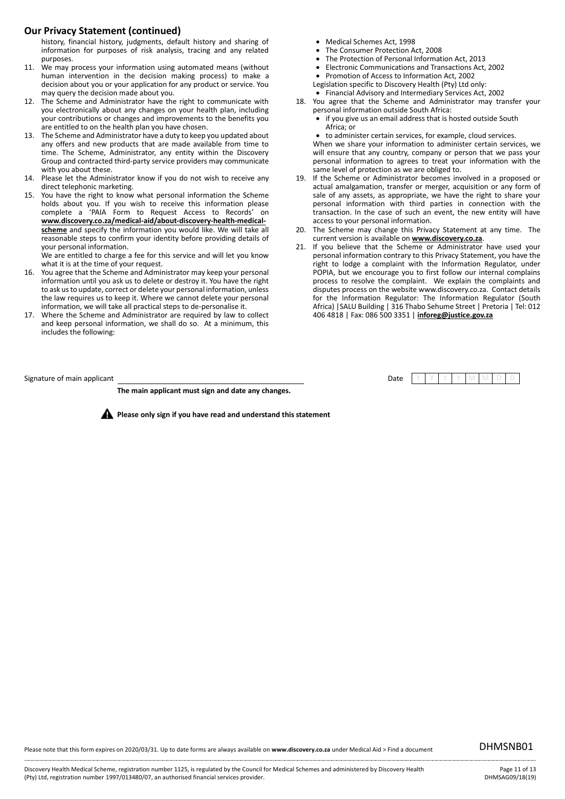## **Our Privacy Statement (continued)**

history, financial history, judgments, default history and sharing of information for purposes of risk analysis, tracing and any related purposes.

- 11. We may process your information using automated means (without human intervention in the decision making process) to make a decision about you or your application for any product or service. You may query the decision made about you.
- 12. The Scheme and Administrator have the right to communicate with you electronically about any changes on your health plan, including your contributions or changes and improvements to the benefits you are entitled to on the health plan you have chosen.
- 13. The Scheme and Administrator have a duty to keep you updated about any offers and new products that are made available from time to time. The Scheme, Administrator, any entity within the Discovery Group and contracted third-party service providers may communicate with you about these.
- 14. Please let the Administrator know if you do not wish to receive any direct telephonic marketing.
- 15. You have the right to know what personal information the Scheme holds about you. If you wish to receive this information please complete a 'PAIA Form to Request Access to Records' on **www.discovery.co.za/medical-aid/about-discovery-health-medicalscheme** and specify the information you would like. We will take all reasonable steps to confirm your identity before providing details of your personal information.

We are entitled to charge a fee for this service and will let you know what it is at the time of your request.

- 16. You agree that the Scheme and Administrator may keep your personal information until you ask us to delete or destroy it. You have the right to ask us to update, correct or delete your personal information, unless the law requires us to keep it. Where we cannot delete your personal information, we will take all practical steps to de-personalise it.
- 17. Where the Scheme and Administrator are required by law to collect and keep personal information, we shall do so. At a minimum, this includes the following:
- Signature of main applicant **Date Y Y Y Y A W A D D** Date Y O W M D Date N D Date N D D Ate

**The main applicant must sign and date any changes.**

**Please only sign if you have read and understand this statement** 

- Medical Schemes Act, 1998
- The Consumer Protection Act, 2008
- The Protection of Personal Information Act, 2013
- Electronic Communications and Transactions Act, 2002
- Promotion of Access to Information Act, 2002
- Legislation specific to Discovery Health (Pty) Ltd only:
- Financial Advisory and Intermediary Services Act, 2002
- 18. You agree that the Scheme and Administrator may transfer your personal information outside South Africa:
	- if you give us an email address that is hosted outside South Africa; or
	- to administer certain services, for example, cloud services.

When we share your information to administer certain services, we will ensure that any country, company or person that we pass your personal information to agrees to treat your information with the same level of protection as we are obliged to.

- 19. If the Scheme or Administrator becomes involved in a proposed or actual amalgamation, transfer or merger, acquisition or any form of sale of any assets, as appropriate, we have the right to share your personal information with third parties in connection with the transaction. In the case of such an event, the new entity will have access to your personal information.
- The Scheme may change this Privacy Statement at any time. The current version is available on **www.discovery.co.za**.
- 21. If you believe that the Scheme or Administrator have used your personal information contrary to this Privacy Statement, you have the right to lodge a complaint with the Information Regulator, under POPIA, but we encourage you to first follow our internal complains process to resolve the complaint. We explain the complaints and disputes process on the website www.discovery.co.za. Contact details for the Information Regulator: The Information Regulator (South Africa) |SALU Building | 316 Thabo Sehume Street | Pretoria | Tel: 012 406 4818 | Fax: 086 500 3351 | **inforeg@justice.gov.za**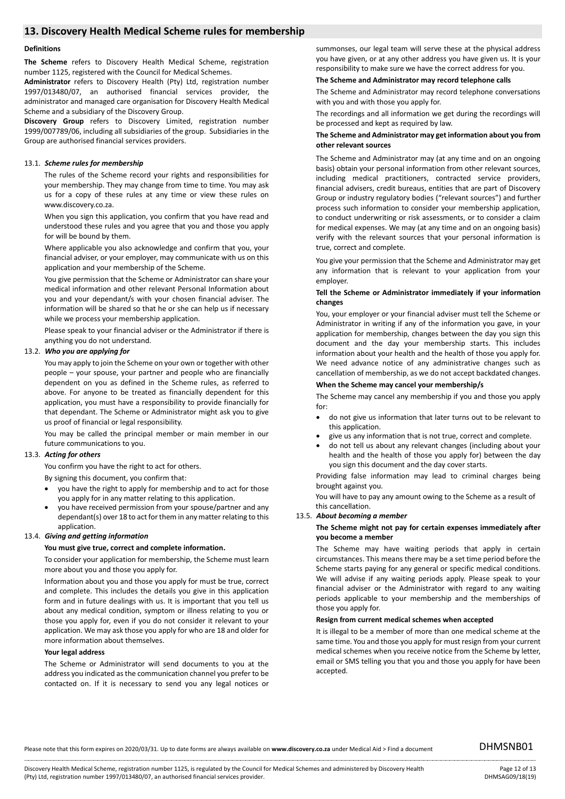## **13. Discovery Health Medical Scheme rules for membership**

#### **Definitions**

**The Scheme** refers to Discovery Health Medical Scheme, registration number 1125, registered with the Council for Medical Schemes.

**Administrator** refers to Discovery Health (Pty) Ltd, registration number 1997/013480/07, an authorised financial services provider, the administrator and managed care organisation for Discovery Health Medical Scheme and a subsidiary of the Discovery Group.

**Discovery Group** refers to Discovery Limited, registration number 1999/007789/06, including all subsidiaries of the group. Subsidiaries in the Group are authorised financial services providers.

#### 13.1. *Scheme rules for membership*

The rules of the Scheme record your rights and responsibilities for your membership. They may change from time to time. You may ask us for a copy of these rules at any time or view these rules on www.discovery.co.za.

When you sign this application, you confirm that you have read and understood these rules and you agree that you and those you apply for will be bound by them.

Where applicable you also acknowledge and confirm that you, your financial adviser, or your employer, may communicate with us on this application and your membership of the Scheme.

You give permission that the Scheme or Administrator can share your medical information and other relevant Personal Information about you and your dependant/s with your chosen financial adviser. The information will be shared so that he or she can help us if necessary while we process your membership application.

Please speak to your financial adviser or the Administrator if there is anything you do not understand.

#### 13.2. *Who you are applying for*

You may apply to join the Scheme on your own or together with other people – your spouse, your partner and people who are financially dependent on you as defined in the Scheme rules, as referred to above. For anyone to be treated as financially dependent for this application, you must have a responsibility to provide financially for that dependant. The Scheme or Administrator might ask you to give us proof of financial or legal responsibility.

You may be called the principal member or main member in our future communications to you.

#### 13.3. *Acting for others*

You confirm you have the right to act for others.

By signing this document, you confirm that:

- you have the right to apply for membership and to act for those you apply for in any matter relating to this application.
- you have received permission from your spouse/partner and any dependant(s) over 18 to act for them in any matter relating to this application.

#### 13.4. *Giving and getting information*

#### **You must give true, correct and complete information.**

To consider your application for membership, the Scheme must learn more about you and those you apply for.

Information about you and those you apply for must be true, correct and complete. This includes the details you give in this application form and in future dealings with us. It is important that you tell us about any medical condition, symptom or illness relating to you or those you apply for, even if you do not consider it relevant to your application. We may ask those you apply for who are 18 and older for more information about themselves.

#### **Your legal address**

The Scheme or Administrator will send documents to you at the address you indicated as the communication channel you prefer to be contacted on. If it is necessary to send you any legal notices or

summonses, our legal team will serve these at the physical address you have given, or at any other address you have given us. It is your responsibility to make sure we have the correct address for you.

#### **The Scheme and Administrator may record telephone calls**

The Scheme and Administrator may record telephone conversations with you and with those you apply for.

The recordings and all information we get during the recordings will be processed and kept as required by law.

#### **The Scheme and Administrator may get information about you from other relevant sources**

The Scheme and Administrator may (at any time and on an ongoing basis) obtain your personal information from other relevant sources, including medical practitioners, contracted service providers, financial advisers, credit bureaus, entities that are part of Discovery Group or industry regulatory bodies ("relevant sources") and further process such information to consider your membership application, to conduct underwriting or risk assessments, or to consider a claim for medical expenses. We may (at any time and on an ongoing basis) verify with the relevant sources that your personal information is true, correct and complete.

You give your permission that the Scheme and Administrator may get any information that is relevant to your application from your employer.

#### **Tell the Scheme or Administrator immediately if your information changes**

You, your employer or your financial adviser must tell the Scheme or Administrator in writing if any of the information you gave, in your application for membership, changes between the day you sign this document and the day your membership starts. This includes information about your health and the health of those you apply for. We need advance notice of any administrative changes such as cancellation of membership, as we do not accept backdated changes.

#### **When the Scheme may cancel your membership/s**

The Scheme may cancel any membership if you and those you apply for:

- do not give us information that later turns out to be relevant to this application.
- give us any information that is not true, correct and complete.
- do not tell us about any relevant changes (including about your health and the health of those you apply for) between the day you sign this document and the day cover starts.

Providing false information may lead to criminal charges being brought against you.

You will have to pay any amount owing to the Scheme as a result of this cancellation.

#### 13.5. *About becoming a member*

#### **The Scheme might not pay for certain expenses immediately after you become a member**

The Scheme may have waiting periods that apply in certain circumstances. This means there may be a set time period before the Scheme starts paying for any general or specific medical conditions. We will advise if any waiting periods apply. Please speak to your financial adviser or the Administrator with regard to any waiting periods applicable to your membership and the memberships of those you apply for.

#### **Resign from current medical schemes when accepted**

It is illegal to be a member of more than one medical scheme at the same time. You and those you apply for must resign from your current medical schemes when you receive notice from the Scheme by letter, email or SMS telling you that you and those you apply for have been accepted.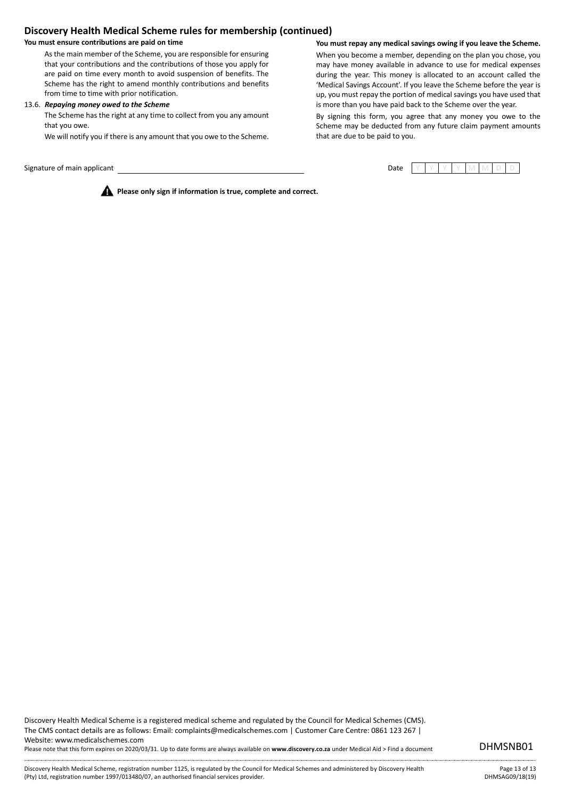## **Discovery Health Medical Scheme rules for membership (continued)**

#### **You must ensure contributions are paid on time**

As the main member of the Scheme, you are responsible for ensuring that your contributions and the contributions of those you apply for are paid on time every month to avoid suspension of benefits. The Scheme has the right to amend monthly contributions and benefits from time to time with prior notification.

#### 13.6. *Repaying money owed to the Scheme*

The Scheme has the right at any time to collect from you any amount that you owe.

We will notify you if there is any amount that you owe to the Scheme.

Signature of main applicant Date Y Y Y Y M M D D

**You must repay any medical savings owing if you leave the Scheme.**

When you become a member, depending on the plan you chose, you may have money available in advance to use for medical expenses during the year. This money is allocated to an account called the 'Medical Savings Account'. If you leave the Scheme before the year is up, you must repay the portion of medical savings you have used that is more than you have paid back to the Scheme over the year.

By signing this form, you agree that any money you owe to the Scheme may be deducted from any future claim payment amounts that are due to be paid to you.

**Please only sign if information is true, complete and correct.**

Discovery Health Medical Scheme is a registered medical scheme and regulated by the Council for Medical Schemes (CMS). The CMS contact details are as follows: Email: complaints@medicalschemes.com | Customer Care Centre: 0861 123 267 | Website: www.medicalschemes.com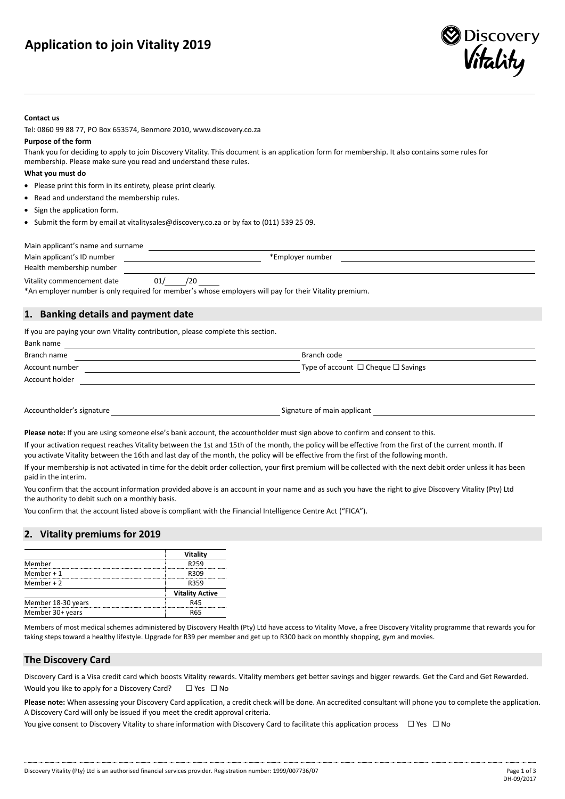## **Application to join Vitality 2019**



#### **Contact us**

Tel: 0860 99 88 77, PO Box 653574, Benmore 2010, www.discovery.co.za

#### **Purpose of the form**

Thank you for deciding to apply to join Discovery Vitality. This document is an application form for membership. It also contains some rules for membership. Please make sure you read and understand these rules.

#### **What you must do**

- Please print this form in its entirety, please print clearly.
- Read and understand the membership rules.
- Sign the application form.
- Submit the form by email at vitalitysales@discovery.co.za or by fax to (011) 539 25 09.

| Main applicant's name and surname                                                                  |     |                  |  |
|----------------------------------------------------------------------------------------------------|-----|------------------|--|
| Main applicant's ID number                                                                         |     | *Employer number |  |
| Health membership number                                                                           |     |                  |  |
| Vitality commencement date<br>$\mathbf{a}$ , and a set of $\mathbf{a}$ , and a set of $\mathbf{a}$ | /20 | $\cdots$         |  |

\*An employer number is only required for member's whose employers will pay for their Vitality premium.

## **1. Banking details and payment date**

If you are paying your own Vitality contribution, please complete this section.

| Bank name      |                                              |
|----------------|----------------------------------------------|
| Branch name    | Branch code                                  |
| Account number | Type of account $\Box$ Cheque $\Box$ Savings |
| Account holder |                                              |
|                |                                              |

Accountholder's signature **Signature Signature of main applicant Signature of main applicant** 

**Please note:** If you are using someone else's bank account, the accountholder must sign above to confirm and consent to this.

If your activation request reaches Vitality between the 1st and 15th of the month, the policy will be effective from the first of the current month. If you activate Vitality between the 16th and last day of the month, the policy will be effective from the first of the following month.

If your membership is not activated in time for the debit order collection, your first premium will be collected with the next debit order unless it has been paid in the interim.

You confirm that the account information provided above is an account in your name and as such you have the right to give Discovery Vitality (Pty) Ltd the authority to debit such on a monthly basis.

You confirm that the account listed above is compliant with the Financial Intelligence Centre Act ("FICA").

## **2. Vitality premiums for 2019**

|                    | Vitality               |
|--------------------|------------------------|
| Member             | R <sub>259</sub>       |
| Member $+1$        | R309                   |
| Member $+2$        | R359                   |
|                    | <b>Vitality Active</b> |
| Member 18-30 years | R45                    |
| Member 30+ years   | <b>RA5</b>             |

Members of most medical schemes administered by Discovery Health (Pty) Ltd have access to Vitality Move, a free Discovery Vitality programme that rewards you for taking steps toward a healthy lifestyle. Upgrade for R39 per member and get up to R300 back on monthly shopping, gym and movies.

## **The Discovery Card**

Discovery Card is a Visa credit card which boosts Vitality rewards. Vitality members get better savings and bigger rewards. Get the Card and Get Rewarded. Would you like to apply for a Discovery Card? □ Yes □ No

**Please note:** When assessing your Discovery Card application, a credit check will be done. An accredited consultant will phone you to complete the application. A Discovery Card will only be issued if you meet the credit approval criteria.

You give consent to Discovery Vitality to share information with Discovery Card to facilitate this application process □ Yes □ No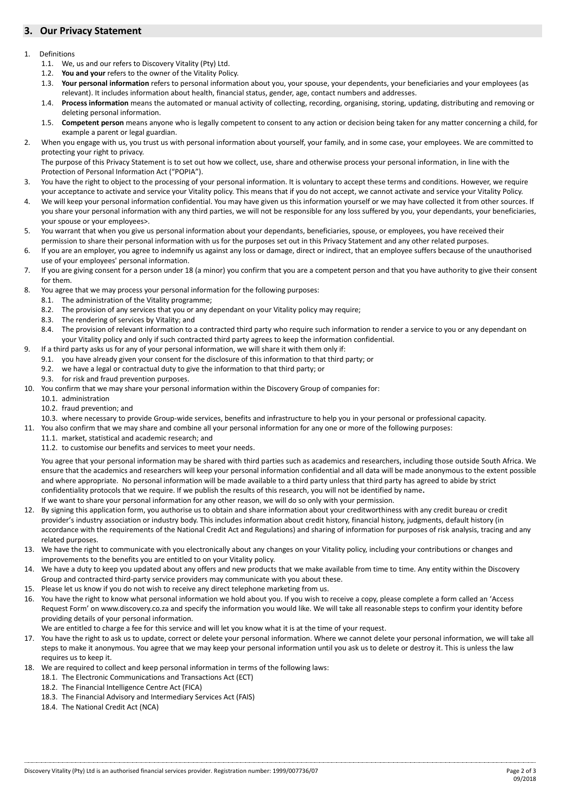## **3. Our Privacy Statement**

#### 1. Definitions

- 1.1. We, us and our refers to Discovery Vitality (Pty) Ltd.
- 1.2. **You and your** refers to the owner of the Vitality Policy.
- 1.3. **Your personal information** refers to personal information about you, your spouse, your dependents, your beneficiaries and your employees (as relevant). It includes information about health, financial status, gender, age, contact numbers and addresses.
- 1.4. **Process information** means the automated or manual activity of collecting, recording, organising, storing, updating, distributing and removing or deleting personal information.
- 1.5. **Competent person** means anyone who is legally competent to consent to any action or decision being taken for any matter concerning a child, for example a parent or legal guardian.
- 2. When you engage with us, you trust us with personal information about yourself, your family, and in some case, your employees. We are committed to protecting your right to privacy.
- The purpose of this Privacy Statement is to set out how we collect, use, share and otherwise process your personal information, in line with the Protection of Personal Information Act ("POPIA").
- 3. You have the right to object to the processing of your personal information. It is voluntary to accept these terms and conditions. However, we require your acceptance to activate and service your Vitality policy. This means that if you do not accept, we cannot activate and service your Vitality Policy.
- 4. We will keep your personal information confidential. You may have given us this information yourself or we may have collected it from other sources. If you share your personal information with any third parties, we will not be responsible for any loss suffered by you, your dependants, your beneficiaries, your spouse or your employees>.
- 5. You warrant that when you give us personal information about your dependants, beneficiaries, spouse, or employees, you have received their permission to share their personal information with us for the purposes set out in this Privacy Statement and any other related purposes.
- 6. If you are an employer, you agree to indemnify us against any loss or damage, direct or indirect, that an employee suffers because of the unauthorised use of your employees' personal information.
- 7. If you are giving consent for a person under 18 (a minor) you confirm that you are a competent person and that you have authority to give their consent for them.
- 8. You agree that we may process your personal information for the following purposes:
	- 8.1. The administration of the Vitality programme;
	- 8.2. The provision of any services that you or any dependant on your Vitality policy may require;
	- 8.3. The rendering of services by Vitality; and
	- 8.4. The provision of relevant information to a contracted third party who require such information to render a service to you or any dependant on your Vitality policy and only if such contracted third party agrees to keep the information confidential.
- 9. If a third party asks us for any of your personal information, we will share it with them only if:
	- 9.1. you have already given your consent for the disclosure of this information to that third party; or
	- 9.2. we have a legal or contractual duty to give the information to that third party; or
	- 9.3. for risk and fraud prevention purposes.
- 10. You confirm that we may share your personal information within the Discovery Group of companies for:
	- 10.1. administration
	- 10.2. fraud prevention; and
	- 10.3. where necessary to provide Group-wide services, benefits and infrastructure to help you in your personal or professional capacity.
- 11. You also confirm that we may share and combine all your personal information for any one or more of the following purposes:
	- 11.1. market, statistical and academic research; and
	- 11.2. to customise our benefits and services to meet your needs.

You agree that your personal information may be shared with third parties such as academics and researchers, including those outside South Africa. We ensure that the academics and researchers will keep your personal information confidential and all data will be made anonymous to the extent possible and where appropriate. No personal information will be made available to a third party unless that third party has agreed to abide by strict confidentiality protocols that we require. If we publish the results of this research, you will not be identified by name**.** 

- If we want to share your personal information for any other reason, we will do so only with your permission.
- 12. By signing this application form, you authorise us to obtain and share information about your creditworthiness with any credit bureau or credit provider's industry association or industry body. This includes information about credit history, financial history, judgments, default history (in accordance with the requirements of the National Credit Act and Regulations) and sharing of information for purposes of risk analysis, tracing and any related purposes.
- 13. We have the right to communicate with you electronically about any changes on your Vitality policy, including your contributions or changes and improvements to the benefits you are entitled to on your Vitality policy.
- 14. We have a duty to keep you updated about any offers and new products that we make available from time to time. Any entity within the Discovery Group and contracted third-party service providers may communicate with you about these.
- 15. Please let us know if you do not wish to receive any direct telephone marketing from us.
- 16. You have the right to know what personal information we hold about you. If you wish to receive a copy, please complete a form called an 'Access Request Form' on www.discovery.co.za and specify the information you would like. We will take all reasonable steps to confirm your identity before providing details of your personal information.

We are entitled to charge a fee for this service and will let you know what it is at the time of your request.

- 17. You have the right to ask us to update, correct or delete your personal information. Where we cannot delete your personal information, we will take all steps to make it anonymous. You agree that we may keep your personal information until you ask us to delete or destroy it. This is unless the law requires us to keep it.
- 18. We are required to collect and keep personal information in terms of the following laws:
	- 18.1. The Electronic Communications and Transactions Act (ECT)
	- 18.2. The Financial Intelligence Centre Act (FICA)
	- 18.3. The Financial Advisory and Intermediary Services Act (FAIS)
	- 18.4. The National Credit Act (NCA)